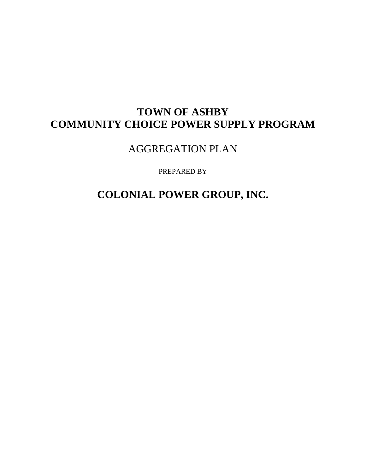# **TOWN OF ASHBY COMMUNITY CHOICE POWER SUPPLY PROGRAM**

AGGREGATION PLAN

PREPARED BY

**COLONIAL POWER GROUP, INC.**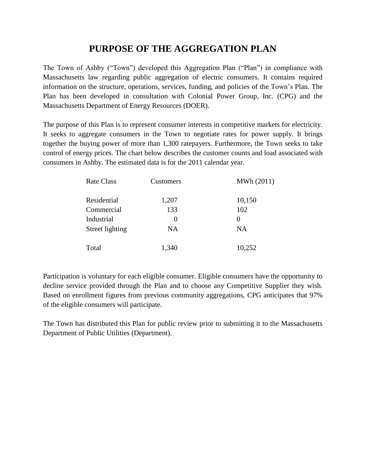## **PURPOSE OF THE AGGREGATION PLAN**

The Town of Ashby ("Town") developed this Aggregation Plan ("Plan") in compliance with Massachusetts law regarding public aggregation of electric consumers. It contains required information on the structure, operations, services, funding, and policies of the Town's Plan. The Plan has been developed in consultation with Colonial Power Group, Inc. (CPG) and the Massachusetts Department of Energy Resources (DOER).

The purpose of this Plan is to represent consumer interests in competitive markets for electricity. It seeks to aggregate consumers in the Town to negotiate rates for power supply. It brings together the buying power of more than 1,300 ratepayers. Furthermore, the Town seeks to take control of energy prices. The chart below describes the customer counts and load associated with consumers in Ashby. The estimated data is for the 2011 calendar year.

| <b>Rate Class</b> | Customers         | MWh (2011) |
|-------------------|-------------------|------------|
| Residential       | 1,207             | 10,150     |
| Commercial        | 133               | 102        |
| Industrial        | $\mathbf{\Omega}$ | $\theta$   |
| Street lighting   | NA                | <b>NA</b>  |
| Total             | 1,340             | 10,252     |

Participation is voluntary for each eligible consumer. Eligible consumers have the opportunity to decline service provided through the Plan and to choose any Competitive Supplier they wish. Based on enrollment figures from previous community aggregations, CPG anticipates that 97% of the eligible consumers will participate.

The Town has distributed this Plan for public review prior to submitting it to the Massachusetts Department of Public Utilities (Department).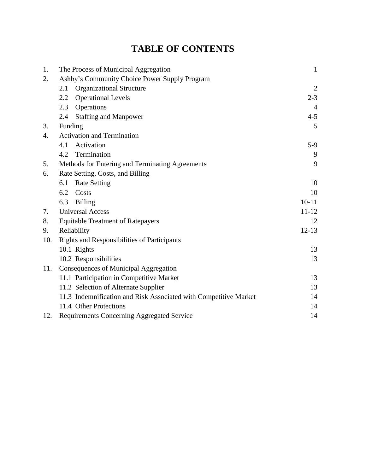# **TABLE OF CONTENTS**

| 1.  | The Process of Municipal Aggregation                             | $\mathbf{1}$ |
|-----|------------------------------------------------------------------|--------------|
| 2.  | Ashby's Community Choice Power Supply Program                    |              |
|     | <b>Organizational Structure</b><br>2.1                           | 2            |
|     | 2.2<br><b>Operational Levels</b>                                 | $2 - 3$      |
|     | Operations<br>2.3                                                | 4            |
|     | <b>Staffing and Manpower</b><br>2.4                              | $4 - 5$      |
| 3.  | Funding                                                          | 5            |
| 4.  | <b>Activation and Termination</b>                                |              |
|     | Activation<br>4.1                                                | $5-9$        |
|     | Termination<br>4.2                                               | 9            |
| 5.  | Methods for Entering and Terminating Agreements                  | 9            |
| 6.  | Rate Setting, Costs, and Billing                                 |              |
|     | <b>Rate Setting</b><br>6.1                                       | 10           |
|     | 6.2<br>Costs                                                     | 10           |
|     | <b>Billing</b><br>6.3                                            | $10-11$      |
| 7.  | <b>Universal Access</b>                                          | $11 - 12$    |
| 8.  | <b>Equitable Treatment of Ratepayers</b>                         | 12           |
| 9.  | Reliability                                                      | $12 - 13$    |
| 10. | <b>Rights and Responsibilities of Participants</b>               |              |
|     | 10.1 Rights                                                      | 13           |
|     | 10.2 Responsibilities                                            | 13           |
| 11. | Consequences of Municipal Aggregation                            |              |
|     | 11.1 Participation in Competitive Market                         | 13           |
|     | 11.2 Selection of Alternate Supplier                             | 13           |
|     | 11.3 Indemnification and Risk Associated with Competitive Market | 14           |
|     | 11.4 Other Protections                                           | 14           |
| 12. | Requirements Concerning Aggregated Service                       | 14           |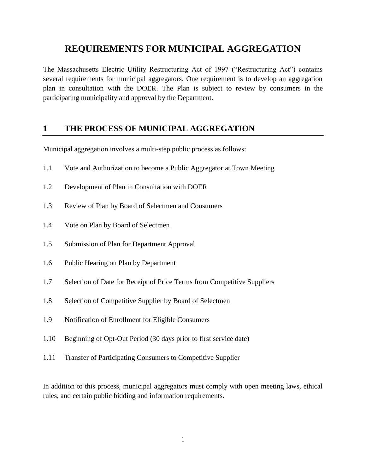## **REQUIREMENTS FOR MUNICIPAL AGGREGATION**

The Massachusetts Electric Utility Restructuring Act of 1997 ("Restructuring Act") contains several requirements for municipal aggregators. One requirement is to develop an aggregation plan in consultation with the DOER. The Plan is subject to review by consumers in the participating municipality and approval by the Department.

## **1 THE PROCESS OF MUNICIPAL AGGREGATION**

Municipal aggregation involves a multi-step public process as follows:

- 1.1 Vote and Authorization to become a Public Aggregator at Town Meeting
- 1.2 Development of Plan in Consultation with DOER
- 1.3 Review of Plan by Board of Selectmen and Consumers
- 1.4 Vote on Plan by Board of Selectmen
- 1.5 Submission of Plan for Department Approval
- 1.6 Public Hearing on Plan by Department
- 1.7 Selection of Date for Receipt of Price Terms from Competitive Suppliers
- 1.8 Selection of Competitive Supplier by Board of Selectmen
- 1.9 Notification of Enrollment for Eligible Consumers
- 1.10 Beginning of Opt-Out Period (30 days prior to first service date)
- 1.11 Transfer of Participating Consumers to Competitive Supplier

In addition to this process, municipal aggregators must comply with open meeting laws, ethical rules, and certain public bidding and information requirements.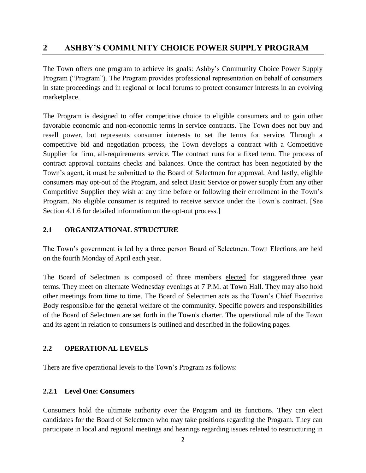## **2 ASHBY'S COMMUNITY CHOICE POWER SUPPLY PROGRAM**

The Town offers one program to achieve its goals: Ashby's Community Choice Power Supply Program ("Program"). The Program provides professional representation on behalf of consumers in state proceedings and in regional or local forums to protect consumer interests in an evolving marketplace.

The Program is designed to offer competitive choice to eligible consumers and to gain other favorable economic and non-economic terms in service contracts. The Town does not buy and resell power, but represents consumer interests to set the terms for service. Through a competitive bid and negotiation process, the Town develops a contract with a Competitive Supplier for firm, all-requirements service. The contract runs for a fixed term. The process of contract approval contains checks and balances. Once the contract has been negotiated by the Town's agent, it must be submitted to the Board of Selectmen for approval. And lastly, eligible consumers may opt-out of the Program, and select Basic Service or power supply from any other Competitive Supplier they wish at any time before or following their enrollment in the Town's Program. No eligible consumer is required to receive service under the Town's contract. [See Section 4.1.6 for detailed information on the opt-out process.]

#### **2.1 ORGANIZATIONAL STRUCTURE**

The Town's government is led by a three person Board of Selectmen. Town Elections are held on the fourth Monday of April each year.

The Board of Selectmen is composed of three members elected for staggered three year terms. They meet on alternate Wednesday evenings at 7 P.M. at Town Hall. They may also hold other meetings from time to time. The Board of Selectmen acts as the Town's Chief Executive Body responsible for the general welfare of the community. Specific powers and responsibilities of the Board of Selectmen are set forth in the Town's charter. The operational role of the Town and its agent in relation to consumers is outlined and described in the following pages.

#### **2.2 OPERATIONAL LEVELS**

There are five operational levels to the Town's Program as follows:

#### **2.2.1 Level One: Consumers**

Consumers hold the ultimate authority over the Program and its functions. They can elect candidates for the Board of Selectmen who may take positions regarding the Program. They can participate in local and regional meetings and hearings regarding issues related to restructuring in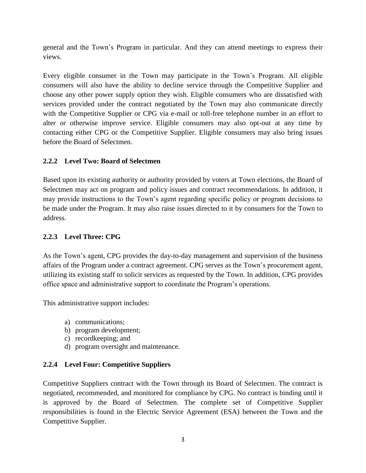general and the Town's Program in particular. And they can attend meetings to express their views.

Every eligible consumer in the Town may participate in the Town's Program. All eligible consumers will also have the ability to decline service through the Competitive Supplier and choose any other power supply option they wish. Eligible consumers who are dissatisfied with services provided under the contract negotiated by the Town may also communicate directly with the Competitive Supplier or CPG via e-mail or toll-free telephone number in an effort to alter or otherwise improve service. Eligible consumers may also opt-out at any time by contacting either CPG or the Competitive Supplier. Eligible consumers may also bring issues before the Board of Selectmen.

#### **2.2.2 Level Two: Board of Selectmen**

Based upon its existing authority or authority provided by voters at Town elections, the Board of Selectmen may act on program and policy issues and contract recommendations. In addition, it may provide instructions to the Town's agent regarding specific policy or program decisions to be made under the Program. It may also raise issues directed to it by consumers for the Town to address.

#### **2.2.3 Level Three: CPG**

As the Town's agent, CPG provides the day-to-day management and supervision of the business affairs of the Program under a contract agreement. CPG serves as the Town's procurement agent, utilizing its existing staff to solicit services as requested by the Town. In addition, CPG provides office space and administrative support to coordinate the Program's operations.

This administrative support includes:

- a) communications;
- b) program development;
- c) recordkeeping; and
- d) program oversight and maintenance.

#### **2.2.4 Level Four: Competitive Suppliers**

Competitive Suppliers contract with the Town through its Board of Selectmen. The contract is negotiated, recommended, and monitored for compliance by CPG. No contract is binding until it is approved by the Board of Selectmen. The complete set of Competitive Supplier responsibilities is found in the Electric Service Agreement (ESA) between the Town and the Competitive Supplier.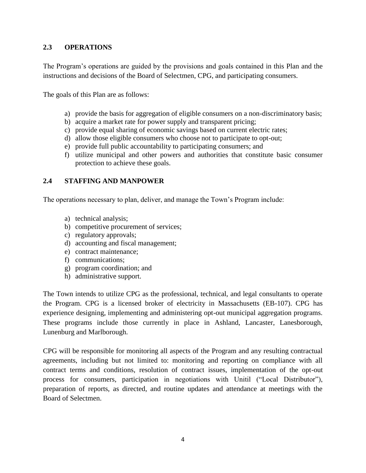#### **2.3 OPERATIONS**

The Program's operations are guided by the provisions and goals contained in this Plan and the instructions and decisions of the Board of Selectmen, CPG, and participating consumers.

The goals of this Plan are as follows:

- a) provide the basis for aggregation of eligible consumers on a non-discriminatory basis;
- b) acquire a market rate for power supply and transparent pricing;
- c) provide equal sharing of economic savings based on current electric rates;
- d) allow those eligible consumers who choose not to participate to opt-out;
- e) provide full public accountability to participating consumers; and
- f) utilize municipal and other powers and authorities that constitute basic consumer protection to achieve these goals.

#### **2.4 STAFFING AND MANPOWER**

The operations necessary to plan, deliver, and manage the Town's Program include:

- a) technical analysis;
- b) competitive procurement of services;
- c) regulatory approvals;
- d) accounting and fiscal management;
- e) contract maintenance;
- f) communications;
- g) program coordination; and
- h) administrative support.

The Town intends to utilize CPG as the professional, technical, and legal consultants to operate the Program. CPG is a licensed broker of electricity in Massachusetts (EB-107). CPG has experience designing, implementing and administering opt-out municipal aggregation programs. These programs include those currently in place in Ashland, Lancaster, Lanesborough, Lunenburg and Marlborough.

CPG will be responsible for monitoring all aspects of the Program and any resulting contractual agreements, including but not limited to: monitoring and reporting on compliance with all contract terms and conditions, resolution of contract issues, implementation of the opt-out process for consumers, participation in negotiations with Unitil ("Local Distributor"), preparation of reports, as directed, and routine updates and attendance at meetings with the Board of Selectmen.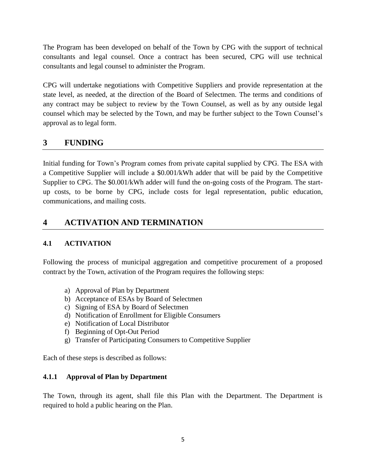The Program has been developed on behalf of the Town by CPG with the support of technical consultants and legal counsel. Once a contract has been secured, CPG will use technical consultants and legal counsel to administer the Program.

CPG will undertake negotiations with Competitive Suppliers and provide representation at the state level, as needed, at the direction of the Board of Selectmen. The terms and conditions of any contract may be subject to review by the Town Counsel, as well as by any outside legal counsel which may be selected by the Town, and may be further subject to the Town Counsel's approval as to legal form.

## **3 FUNDING**

Initial funding for Town's Program comes from private capital supplied by CPG. The ESA with a Competitive Supplier will include a \$0.001/kWh adder that will be paid by the Competitive Supplier to CPG. The \$0.001/kWh adder will fund the on-going costs of the Program. The startup costs, to be borne by CPG, include costs for legal representation, public education, communications, and mailing costs.

## **4 ACTIVATION AND TERMINATION**

### **4.1 ACTIVATION**

Following the process of municipal aggregation and competitive procurement of a proposed contract by the Town, activation of the Program requires the following steps:

- a) Approval of Plan by Department
- b) Acceptance of ESAs by Board of Selectmen
- c) Signing of ESA by Board of Selectmen
- d) Notification of Enrollment for Eligible Consumers
- e) Notification of Local Distributor
- f) Beginning of Opt-Out Period
- g) Transfer of Participating Consumers to Competitive Supplier

Each of these steps is described as follows:

#### **4.1.1 Approval of Plan by Department**

The Town, through its agent, shall file this Plan with the Department. The Department is required to hold a public hearing on the Plan.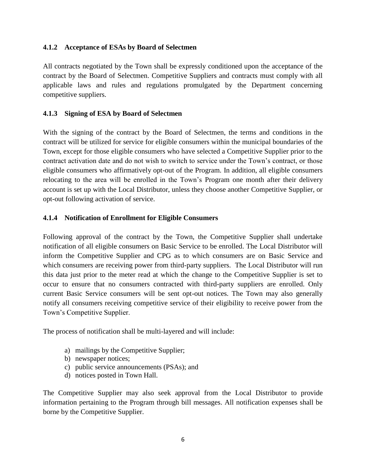#### **4.1.2 Acceptance of ESAs by Board of Selectmen**

All contracts negotiated by the Town shall be expressly conditioned upon the acceptance of the contract by the Board of Selectmen. Competitive Suppliers and contracts must comply with all applicable laws and rules and regulations promulgated by the Department concerning competitive suppliers.

#### **4.1.3 Signing of ESA by Board of Selectmen**

With the signing of the contract by the Board of Selectmen, the terms and conditions in the contract will be utilized for service for eligible consumers within the municipal boundaries of the Town, except for those eligible consumers who have selected a Competitive Supplier prior to the contract activation date and do not wish to switch to service under the Town's contract, or those eligible consumers who affirmatively opt-out of the Program. In addition, all eligible consumers relocating to the area will be enrolled in the Town's Program one month after their delivery account is set up with the Local Distributor, unless they choose another Competitive Supplier, or opt-out following activation of service.

#### **4.1.4 Notification of Enrollment for Eligible Consumers**

Following approval of the contract by the Town, the Competitive Supplier shall undertake notification of all eligible consumers on Basic Service to be enrolled. The Local Distributor will inform the Competitive Supplier and CPG as to which consumers are on Basic Service and which consumers are receiving power from third-party suppliers. The Local Distributor will run this data just prior to the meter read at which the change to the Competitive Supplier is set to occur to ensure that no consumers contracted with third-party suppliers are enrolled. Only current Basic Service consumers will be sent opt-out notices. The Town may also generally notify all consumers receiving competitive service of their eligibility to receive power from the Town's Competitive Supplier.

The process of notification shall be multi-layered and will include:

- a) mailings by the Competitive Supplier;
- b) newspaper notices;
- c) public service announcements (PSAs); and
- d) notices posted in Town Hall.

The Competitive Supplier may also seek approval from the Local Distributor to provide information pertaining to the Program through bill messages. All notification expenses shall be borne by the Competitive Supplier.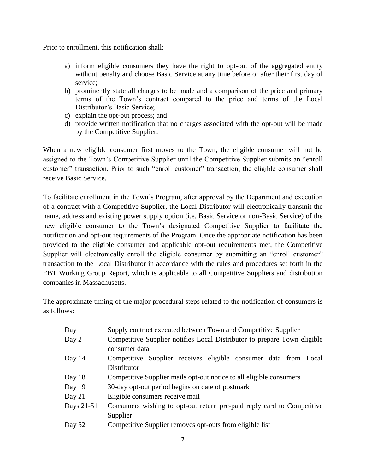Prior to enrollment, this notification shall:

- a) inform eligible consumers they have the right to opt-out of the aggregated entity without penalty and choose Basic Service at any time before or after their first day of service;
- b) prominently state all charges to be made and a comparison of the price and primary terms of the Town's contract compared to the price and terms of the Local Distributor's Basic Service;
- c) explain the opt-out process; and
- d) provide written notification that no charges associated with the opt-out will be made by the Competitive Supplier.

When a new eligible consumer first moves to the Town, the eligible consumer will not be assigned to the Town's Competitive Supplier until the Competitive Supplier submits an "enroll customer" transaction. Prior to such "enroll customer" transaction, the eligible consumer shall receive Basic Service.

To facilitate enrollment in the Town's Program, after approval by the Department and execution of a contract with a Competitive Supplier, the Local Distributor will electronically transmit the name, address and existing power supply option (i.e. Basic Service or non-Basic Service) of the new eligible consumer to the Town's designated Competitive Supplier to facilitate the notification and opt-out requirements of the Program. Once the appropriate notification has been provided to the eligible consumer and applicable opt-out requirements met, the Competitive Supplier will electronically enroll the eligible consumer by submitting an "enroll customer" transaction to the Local Distributor in accordance with the rules and procedures set forth in the EBT Working Group Report, which is applicable to all Competitive Suppliers and distribution companies in Massachusetts.

The approximate timing of the major procedural steps related to the notification of consumers is as follows:

| Day 1      | Supply contract executed between Town and Competitive Supplier                            |  |  |
|------------|-------------------------------------------------------------------------------------------|--|--|
| Day 2      | Competitive Supplier notifies Local Distributor to prepare Town eligible<br>consumer data |  |  |
| Day 14     | Competitive Supplier receives eligible consumer data from Local                           |  |  |
|            | Distributor                                                                               |  |  |
| Day 18     | Competitive Supplier mails opt-out notice to all eligible consumers                       |  |  |
| Day 19     | 30-day opt-out period begins on date of postmark                                          |  |  |
| Day $21$   | Eligible consumers receive mail                                                           |  |  |
| Days 21-51 | Consumers wishing to opt-out return pre-paid reply card to Competitive                    |  |  |
|            | Supplier                                                                                  |  |  |
| Day 52     | Competitive Supplier removes opt-outs from eligible list                                  |  |  |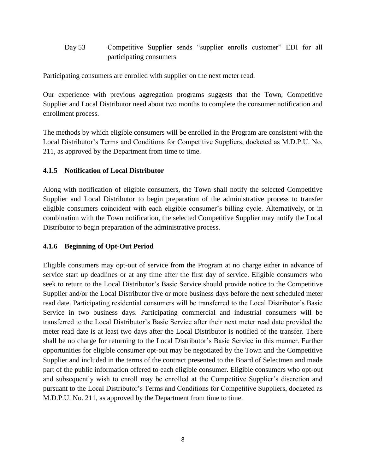Day 53 Competitive Supplier sends "supplier enrolls customer" EDI for all participating consumers

Participating consumers are enrolled with supplier on the next meter read.

Our experience with previous aggregation programs suggests that the Town, Competitive Supplier and Local Distributor need about two months to complete the consumer notification and enrollment process.

The methods by which eligible consumers will be enrolled in the Program are consistent with the Local Distributor's Terms and Conditions for Competitive Suppliers, docketed as M.D.P.U. No. 211, as approved by the Department from time to time.

#### **4.1.5 Notification of Local Distributor**

Along with notification of eligible consumers, the Town shall notify the selected Competitive Supplier and Local Distributor to begin preparation of the administrative process to transfer eligible consumers coincident with each eligible consumer's billing cycle. Alternatively, or in combination with the Town notification, the selected Competitive Supplier may notify the Local Distributor to begin preparation of the administrative process.

#### **4.1.6 Beginning of Opt-Out Period**

Eligible consumers may opt-out of service from the Program at no charge either in advance of service start up deadlines or at any time after the first day of service. Eligible consumers who seek to return to the Local Distributor's Basic Service should provide notice to the Competitive Supplier and/or the Local Distributor five or more business days before the next scheduled meter read date. Participating residential consumers will be transferred to the Local Distributor's Basic Service in two business days. Participating commercial and industrial consumers will be transferred to the Local Distributor's Basic Service after their next meter read date provided the meter read date is at least two days after the Local Distributor is notified of the transfer. There shall be no charge for returning to the Local Distributor's Basic Service in this manner. Further opportunities for eligible consumer opt-out may be negotiated by the Town and the Competitive Supplier and included in the terms of the contract presented to the Board of Selectmen and made part of the public information offered to each eligible consumer. Eligible consumers who opt-out and subsequently wish to enroll may be enrolled at the Competitive Supplier's discretion and pursuant to the Local Distributor's Terms and Conditions for Competitive Suppliers, docketed as M.D.P.U. No. 211, as approved by the Department from time to time.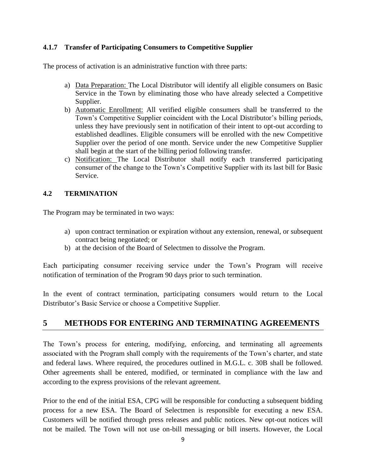#### **4.1.7 Transfer of Participating Consumers to Competitive Supplier**

The process of activation is an administrative function with three parts:

- a) Data Preparation: The Local Distributor will identify all eligible consumers on Basic Service in the Town by eliminating those who have already selected a Competitive Supplier.
- b) Automatic Enrollment: All verified eligible consumers shall be transferred to the Town's Competitive Supplier coincident with the Local Distributor's billing periods, unless they have previously sent in notification of their intent to opt-out according to established deadlines. Eligible consumers will be enrolled with the new Competitive Supplier over the period of one month. Service under the new Competitive Supplier shall begin at the start of the billing period following transfer.
- c) Notification: The Local Distributor shall notify each transferred participating consumer of the change to the Town's Competitive Supplier with its last bill for Basic Service.

#### **4.2 TERMINATION**

The Program may be terminated in two ways:

- a) upon contract termination or expiration without any extension, renewal, or subsequent contract being negotiated; or
- b) at the decision of the Board of Selectmen to dissolve the Program.

Each participating consumer receiving service under the Town's Program will receive notification of termination of the Program 90 days prior to such termination.

In the event of contract termination, participating consumers would return to the Local Distributor's Basic Service or choose a Competitive Supplier.

### **5 METHODS FOR ENTERING AND TERMINATING AGREEMENTS**

The Town's process for entering, modifying, enforcing, and terminating all agreements associated with the Program shall comply with the requirements of the Town's charter, and state and federal laws. Where required, the procedures outlined in M.G.L. c. 30B shall be followed. Other agreements shall be entered, modified, or terminated in compliance with the law and according to the express provisions of the relevant agreement.

Prior to the end of the initial ESA, CPG will be responsible for conducting a subsequent bidding process for a new ESA. The Board of Selectmen is responsible for executing a new ESA. Customers will be notified through press releases and public notices. New opt-out notices will not be mailed. The Town will not use on-bill messaging or bill inserts. However, the Local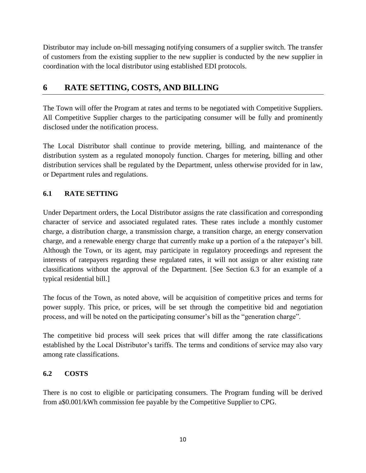Distributor may include on-bill messaging notifying consumers of a supplier switch. The transfer of customers from the existing supplier to the new supplier is conducted by the new supplier in coordination with the local distributor using established EDI protocols.

## **6 RATE SETTING, COSTS, AND BILLING**

The Town will offer the Program at rates and terms to be negotiated with Competitive Suppliers. All Competitive Supplier charges to the participating consumer will be fully and prominently disclosed under the notification process.

The Local Distributor shall continue to provide metering, billing, and maintenance of the distribution system as a regulated monopoly function. Charges for metering, billing and other distribution services shall be regulated by the Department, unless otherwise provided for in law, or Department rules and regulations.

#### **6.1 RATE SETTING**

Under Department orders, the Local Distributor assigns the rate classification and corresponding character of service and associated regulated rates. These rates include a monthly customer charge, a distribution charge, a transmission charge, a transition charge, an energy conservation charge, and a renewable energy charge that currently make up a portion of a the ratepayer's bill. Although the Town, or its agent, may participate in regulatory proceedings and represent the interests of ratepayers regarding these regulated rates, it will not assign or alter existing rate classifications without the approval of the Department. [See Section 6.3 for an example of a typical residential bill.]

The focus of the Town, as noted above, will be acquisition of competitive prices and terms for power supply. This price, or prices, will be set through the competitive bid and negotiation process, and will be noted on the participating consumer's bill as the "generation charge".

The competitive bid process will seek prices that will differ among the rate classifications established by the Local Distributor's tariffs. The terms and conditions of service may also vary among rate classifications.

#### **6.2 COSTS**

There is no cost to eligible or participating consumers. The Program funding will be derived from a\$0.001/kWh commission fee payable by the Competitive Supplier to CPG.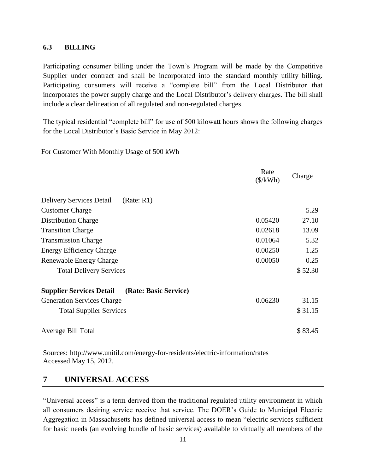#### **6.3 BILLING**

Participating consumer billing under the Town's Program will be made by the Competitive Supplier under contract and shall be incorporated into the standard monthly utility billing. Participating consumers will receive a "complete bill" from the Local Distributor that incorporates the power supply charge and the Local Distributor's delivery charges. The bill shall include a clear delineation of all regulated and non-regulated charges.

The typical residential "complete bill" for use of 500 kilowatt hours shows the following charges for the Local Distributor's Basic Service in May 2012:

For Customer With Monthly Usage of 500 kWh

|                                                          | Rate<br>$(\frac{\sqrt{2}}{kWh})$ | Charge  |
|----------------------------------------------------------|----------------------------------|---------|
| <b>Delivery Services Detail</b><br>(Rate: R1)            |                                  |         |
| <b>Customer Charge</b>                                   |                                  | 5.29    |
| <b>Distribution Charge</b>                               | 0.05420                          | 27.10   |
| <b>Transition Charge</b>                                 | 0.02618                          | 13.09   |
| <b>Transmission Charge</b>                               | 0.01064                          | 5.32    |
| <b>Energy Efficiency Charge</b>                          | 0.00250                          | 1.25    |
| 0.00050<br>Renewable Energy Charge                       |                                  | 0.25    |
| <b>Total Delivery Services</b>                           |                                  | \$52.30 |
| <b>Supplier Services Detail</b><br>(Rate: Basic Service) |                                  |         |
| <b>Generation Services Charge</b>                        | 0.06230                          | 31.15   |
| <b>Total Supplier Services</b>                           |                                  | \$31.15 |
| Average Bill Total                                       |                                  | \$83.45 |

Sources: http://www.unitil.com/energy-for-residents/electric-information/rates Accessed May 15, 2012.

#### **7 UNIVERSAL ACCESS**

"Universal access" is a term derived from the traditional regulated utility environment in which all consumers desiring service receive that service. The DOER's Guide to Municipal Electric Aggregation in Massachusetts has defined universal access to mean "electric services sufficient for basic needs (an evolving bundle of basic services) available to virtually all members of the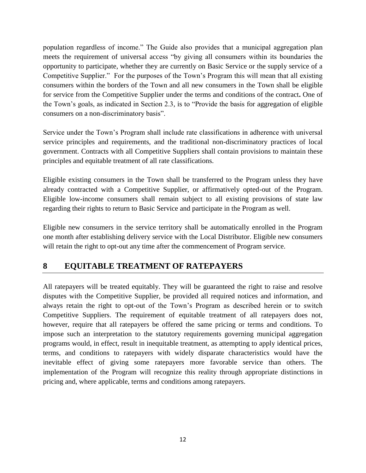population regardless of income." The Guide also provides that a municipal aggregation plan meets the requirement of universal access "by giving all consumers within its boundaries the opportunity to participate, whether they are currently on Basic Service or the supply service of a Competitive Supplier." For the purposes of the Town's Program this will mean that all existing consumers within the borders of the Town and all new consumers in the Town shall be eligible for service from the Competitive Supplier under the terms and conditions of the contract**.** One of the Town's goals, as indicated in Section 2.3, is to "Provide the basis for aggregation of eligible consumers on a non-discriminatory basis".

Service under the Town's Program shall include rate classifications in adherence with universal service principles and requirements, and the traditional non-discriminatory practices of local government. Contracts with all Competitive Suppliers shall contain provisions to maintain these principles and equitable treatment of all rate classifications.

Eligible existing consumers in the Town shall be transferred to the Program unless they have already contracted with a Competitive Supplier, or affirmatively opted-out of the Program. Eligible low-income consumers shall remain subject to all existing provisions of state law regarding their rights to return to Basic Service and participate in the Program as well.

Eligible new consumers in the service territory shall be automatically enrolled in the Program one month after establishing delivery service with the Local Distributor. Eligible new consumers will retain the right to opt-out any time after the commencement of Program service.

## **8 EQUITABLE TREATMENT OF RATEPAYERS**

All ratepayers will be treated equitably. They will be guaranteed the right to raise and resolve disputes with the Competitive Supplier, be provided all required notices and information, and always retain the right to opt-out of the Town's Program as described herein or to switch Competitive Suppliers. The requirement of equitable treatment of all ratepayers does not, however, require that all ratepayers be offered the same pricing or terms and conditions. To impose such an interpretation to the statutory requirements governing municipal aggregation programs would, in effect, result in inequitable treatment, as attempting to apply identical prices, terms, and conditions to ratepayers with widely disparate characteristics would have the inevitable effect of giving some ratepayers more favorable service than others. The implementation of the Program will recognize this reality through appropriate distinctions in pricing and, where applicable, terms and conditions among ratepayers.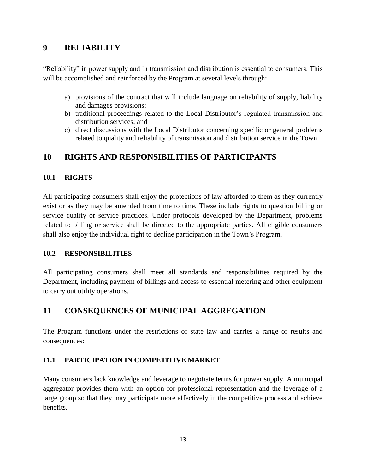#### **9 RELIABILITY**

"Reliability" in power supply and in transmission and distribution is essential to consumers. This will be accomplished and reinforced by the Program at several levels through:

- a) provisions of the contract that will include language on reliability of supply, liability and damages provisions;
- b) traditional proceedings related to the Local Distributor's regulated transmission and distribution services; and
- c) direct discussions with the Local Distributor concerning specific or general problems related to quality and reliability of transmission and distribution service in the Town.

## **10 RIGHTS AND RESPONSIBILITIES OF PARTICIPANTS**

#### **10.1 RIGHTS**

All participating consumers shall enjoy the protections of law afforded to them as they currently exist or as they may be amended from time to time. These include rights to question billing or service quality or service practices. Under protocols developed by the Department, problems related to billing or service shall be directed to the appropriate parties. All eligible consumers shall also enjoy the individual right to decline participation in the Town's Program.

#### **10.2 RESPONSIBILITIES**

All participating consumers shall meet all standards and responsibilities required by the Department, including payment of billings and access to essential metering and other equipment to carry out utility operations.

## **11 CONSEQUENCES OF MUNICIPAL AGGREGATION**

The Program functions under the restrictions of state law and carries a range of results and consequences:

#### **11.1 PARTICIPATION IN COMPETITIVE MARKET**

Many consumers lack knowledge and leverage to negotiate terms for power supply. A municipal aggregator provides them with an option for professional representation and the leverage of a large group so that they may participate more effectively in the competitive process and achieve benefits.